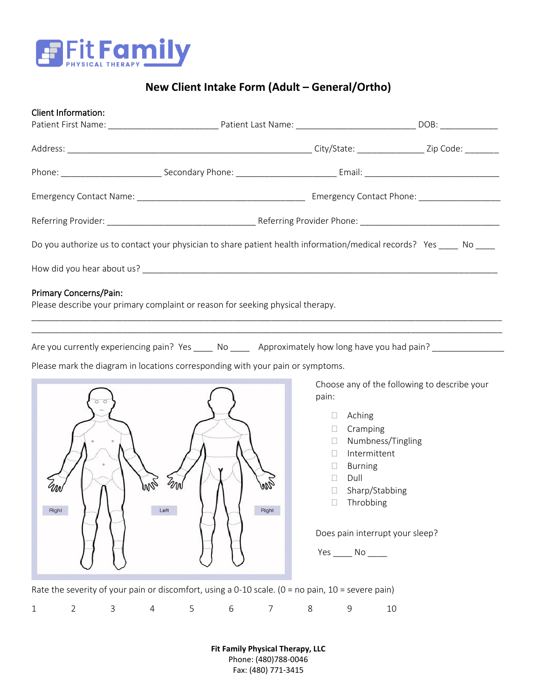

## **New Client Intake Form (Adult – General/Ortho)**

| Client Information:                                                                                                  |  |  |
|----------------------------------------------------------------------------------------------------------------------|--|--|
|                                                                                                                      |  |  |
|                                                                                                                      |  |  |
|                                                                                                                      |  |  |
|                                                                                                                      |  |  |
|                                                                                                                      |  |  |
| Do you authorize us to contact your physician to share patient health information/medical records? Yes _____ No ____ |  |  |
|                                                                                                                      |  |  |
| Primary Concerns/Pain:                                                                                               |  |  |
| Please describe your primary complaint or reason for seeking physical therapy.                                       |  |  |
|                                                                                                                      |  |  |

Are you currently experiencing pain? Yes \_\_\_\_\_ No \_\_\_\_\_ Approximately how long have you had pain? \_\_\_\_\_\_\_\_\_\_\_

Please mark the diagram in locations corresponding with your pain or symptoms.



Choose any of the following to describe your pain:

- Aching
- Cramping
- Numbness/Tingling
- Intermittent
- Burning
- $\square$  Dull
- □ Sharp/Stabbing
- □ Throbbing

Does pain interrupt your sleep?

Yes \_\_\_\_\_\_ No \_\_\_\_\_

Rate the severity of your pain or discomfort, using a 0-10 scale. (0 = no pain, 10 = severe pain)

| 1 2 3 4 5 6 7 8 9 10 |  |
|----------------------|--|
|----------------------|--|

**Fit Family Physical Therapy, LLC** Phone: (480)788-0046 Fax: (480) 771-3415